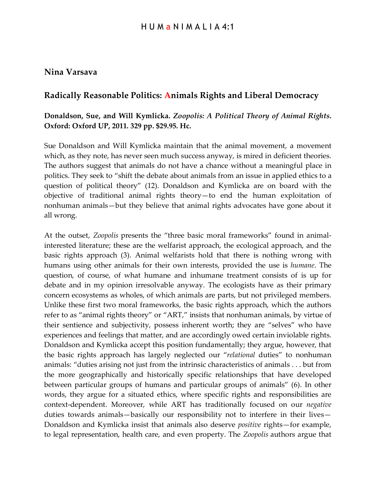## **Nina Varsava**

## **Radically Reasonable Politics: Animals Rights and Liberal Democracy**

## **Donaldson, Sue, and Will Kymlicka.** *Zoopolis: A Political Theory of Animal Rights***. Oxford: Oxford UP, 2011. 329 pp. \$29.95. Hc.**

Sue Donaldson and Will Kymlicka maintain that the animal movement, a movement which, as they note, has never seen much success anyway, is mired in deficient theories. The authors suggest that animals do not have a chance without a meaningful place in politics. They seek to "shift the debate about animals from an issue in applied ethics to a question of political theory" (12). Donaldson and Kymlicka are on board with the objective of traditional animal rights theory—to end the human exploitation of nonhuman animals—but they believe that animal rights advocates have gone about it all wrong.

At the outset, *Zoopolis* presents the "three basic moral frameworks" found in animalinterested literature; these are the welfarist approach, the ecological approach, and the basic rights approach (3). Animal welfarists hold that there is nothing wrong with humans using other animals for their own interests, provided the use is *humane*. The question, of course, of what humane and inhumane treatment consists of is up for debate and in my opinion irresolvable anyway. The ecologists have as their primary concern ecosystems as wholes, of which animals are parts, but not privileged members. Unlike these first two moral frameworks, the basic rights approach, which the authors refer to as "animal rights theory" or "ART," insists that nonhuman animals, by virtue of their sentience and subjectivity, possess inherent worth; they are "selves" who have experiences and feelings that matter, and are accordingly owed certain inviolable rights. Donaldson and Kymlicka accept this position fundamentally; they argue, however, that the basic rights approach has largely neglected our "*relational* duties" to nonhuman animals: "duties arising not just from the intrinsic characteristics of animals . . . but from the more geographically and historically specific relationships that have developed between particular groups of humans and particular groups of animals" (6). In other words, they argue for a situated ethics, where specific rights and responsibilities are context-dependent. Moreover, while ART has traditionally focused on our *negative* duties towards animals—basically our responsibility not to interfere in their lives— Donaldson and Kymlicka insist that animals also deserve *positive* rights—for example, to legal representation, health care, and even property. The *Zoopolis* authors argue that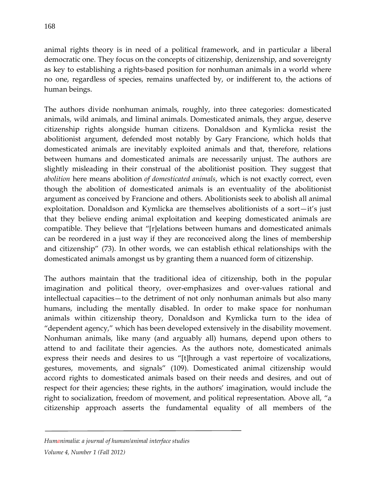animal rights theory is in need of a political framework, and in particular a liberal democratic one. They focus on the concepts of citizenship, denizenship, and sovereignty as key to establishing a rights-based position for nonhuman animals in a world where no one, regardless of species, remains unaffected by, or indifferent to, the actions of

The authors divide nonhuman animals, roughly, into three categories: domesticated animals, wild animals, and liminal animals. Domesticated animals, they argue, deserve citizenship rights alongside human citizens. Donaldson and Kymlicka resist the abolitionist argument, defended most notably by Gary Francione, which holds that domesticated animals are inevitably exploited animals and that, therefore, relations between humans and domesticated animals are necessarily unjust. The authors are slightly misleading in their construal of the abolitionist position. They suggest that *abolition* here means abolition *of domesticated animals*, which is not exactly correct, even though the abolition of domesticated animals is an eventuality of the abolitionist argument as conceived by Francione and others. Abolitionists seek to abolish all animal exploitation. Donaldson and Kymlicka are themselves abolitionists of a sort—it's just that they believe ending animal exploitation and keeping domesticated animals are compatible. They believe that "[r]elations between humans and domesticated animals can be reordered in a just way if they are reconceived along the lines of membership and citizenship" (73). In other words, we can establish ethical relationships with the domesticated animals amongst us by granting them a nuanced form of citizenship.

The authors maintain that the traditional idea of citizenship, both in the popular imagination and political theory, over-emphasizes and over-values rational and intellectual capacities—to the detriment of not only nonhuman animals but also many humans, including the mentally disabled. In order to make space for nonhuman animals within citizenship theory, Donaldson and Kymlicka turn to the idea of "dependent agency," which has been developed extensively in the disability movement. Nonhuman animals, like many (and arguably all) humans, depend upon others to attend to and facilitate their agencies. As the authors note, domesticated animals express their needs and desires to us "[t]hrough a vast repertoire of vocalizations, gestures, movements, and signals" (109). Domesticated animal citizenship would accord rights to domesticated animals based on their needs and desires, and out of respect for their agencies; these rights, in the authors' imagination, would include the right to socialization, freedom of movement, and political representation. Above all, "a citizenship approach asserts the fundamental equality of all members of the

human beings.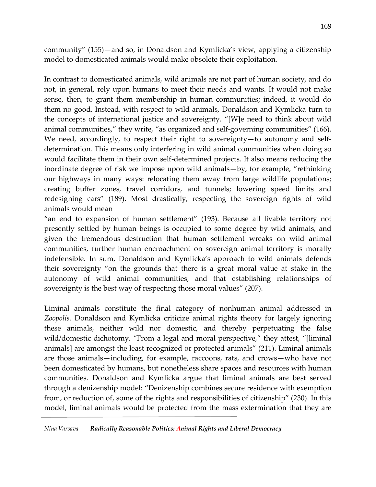community" (155)—and so, in Donaldson and Kymlicka's view, applying a citizenship model to domesticated animals would make obsolete their exploitation.

In contrast to domesticated animals, wild animals are not part of human society, and do not, in general, rely upon humans to meet their needs and wants. It would not make sense, then, to grant them membership in human communities; indeed, it would do them no good. Instead, with respect to wild animals, Donaldson and Kymlicka turn to the concepts of international justice and sovereignty. "[W]e need to think about wild animal communities," they write, "as organized and self-governing communities" (166). We need, accordingly, to respect their right to sovereignty—to autonomy and selfdetermination. This means only interfering in wild animal communities when doing so would facilitate them in their own self-determined projects. It also means reducing the inordinate degree of risk we impose upon wild animals—by, for example, "rethinking our highways in many ways: relocating them away from large wildlife populations; creating buffer zones, travel corridors, and tunnels; lowering speed limits and redesigning cars" (189). Most drastically, respecting the sovereign rights of wild animals would mean

"an end to expansion of human settlement" (193). Because all livable territory not presently settled by human beings is occupied to some degree by wild animals, and given the tremendous destruction that human settlement wreaks on wild animal communities, further human encroachment on sovereign animal territory is morally indefensible. In sum, Donaldson and Kymlicka's approach to wild animals defends their sovereignty "on the grounds that there is a great moral value at stake in the autonomy of wild animal communities, and that establishing relationships of sovereignty is the best way of respecting those moral values" (207).

Liminal animals constitute the final category of nonhuman animal addressed in *Zoopolis*. Donaldson and Kymlicka criticize animal rights theory for largely ignoring these animals, neither wild nor domestic, and thereby perpetuating the false wild/domestic dichotomy. "From a legal and moral perspective," they attest, "[liminal animals] are amongst the least recognized or protected animals" (211). Liminal animals are those animals—including, for example, raccoons, rats, and crows—who have not been domesticated by humans, but nonetheless share spaces and resources with human communities. Donaldson and Kymlicka argue that liminal animals are best served through a denizenship model: "Denizenship combines secure residence with exemption from, or reduction of, some of the rights and responsibilities of citizenship" (230). In this model, liminal animals would be protected from the mass extermination that they are

*Nina Varsava — Radically Reasonable Politics: Animal Rights and Liberal Democracy*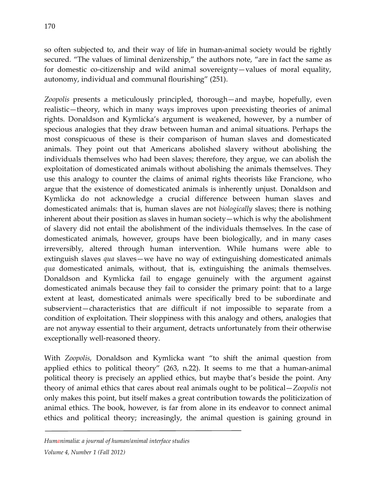170

so often subjected to, and their way of life in human-animal society would be rightly secured. "The values of liminal denizenship," the authors note, "are in fact the same as for domestic co-citizenship and wild animal sovereignty—values of moral equality, autonomy, individual and communal flourishing" (251).

*Zoopolis* presents a meticulously principled, thorough—and maybe, hopefully, even realistic—theory, which in many ways improves upon preexisting theories of animal rights. Donaldson and Kymlicka's argument is weakened, however, by a number of specious analogies that they draw between human and animal situations. Perhaps the most conspicuous of these is their comparison of human slaves and domesticated animals. They point out that Americans abolished slavery without abolishing the individuals themselves who had been slaves; therefore, they argue, we can abolish the exploitation of domesticated animals without abolishing the animals themselves. They use this analogy to counter the claims of animal rights theorists like Francione, who argue that the existence of domesticated animals is inherently unjust. Donaldson and Kymlicka do not acknowledge a crucial difference between human slaves and domesticated animals: that is, human slaves are not *biologically* slaves; there is nothing inherent about their position as slaves in human society—which is why the abolishment of slavery did not entail the abolishment of the individuals themselves. In the case of domesticated animals, however, groups have been biologically, and in many cases irreversibly, altered through human intervention. While humans were able to extinguish slaves *qua* slaves—we have no way of extinguishing domesticated animals *qua* domesticated animals, without, that is, extinguishing the animals themselves. Donaldson and Kymlicka fail to engage genuinely with the argument against domesticated animals because they fail to consider the primary point: that to a large extent at least, domesticated animals were specifically bred to be subordinate and subservient—characteristics that are difficult if not impossible to separate from a condition of exploitation. Their sloppiness with this analogy and others, analogies that are not anyway essential to their argument, detracts unfortunately from their otherwise exceptionally well-reasoned theory.

With *Zoopolis*, Donaldson and Kymlicka want "to shift the animal question from applied ethics to political theory" (263, n.22). It seems to me that a human-animal political theory is precisely an applied ethics, but maybe that's beside the point. Any theory of animal ethics that cares about real animals ought to be political—*Zoopolis* not only makes this point, but itself makes a great contribution towards the politicization of animal ethics. The book, however, is far from alone in its endeavor to connect animal ethics and political theory; increasingly, the animal question is gaining ground in